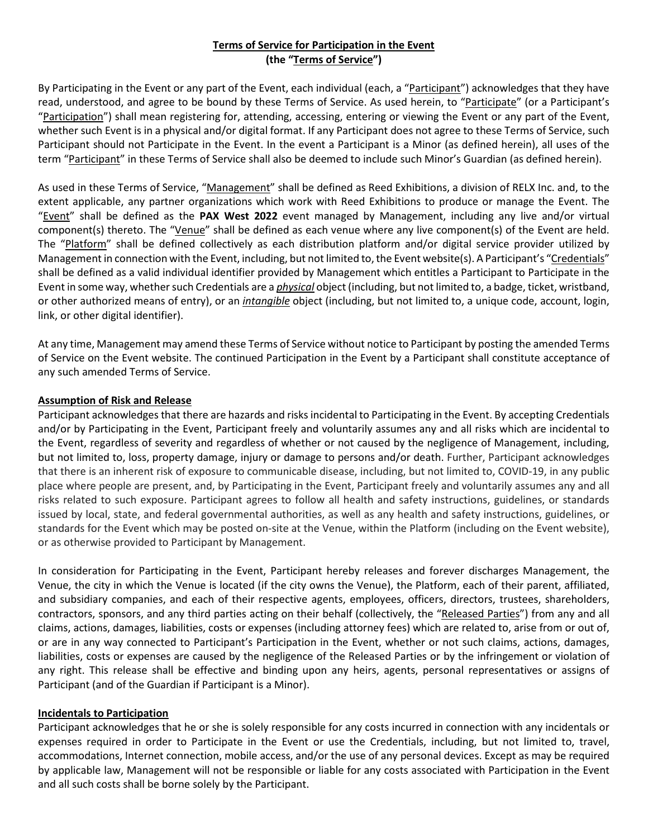# **Terms of Service for Participation in the Event (the "Terms of Service")**

By Participating in the Event or any part of the Event, each individual (each, a "Participant") acknowledges that they have read, understood, and agree to be bound by these Terms of Service. As used herein, to "Participate" (or a Participant's "Participation") shall mean registering for, attending, accessing, entering or viewing the Event or any part of the Event, whether such Event is in a physical and/or digital format. If any Participant does not agree to these Terms of Service, such Participant should not Participate in the Event. In the event a Participant is a Minor (as defined herein), all uses of the term "Participant" in these Terms of Service shall also be deemed to include such Minor's Guardian (as defined herein).

As used in these Terms of Service, "Management" shall be defined as Reed Exhibitions, a division of RELX Inc. and, to the extent applicable, any partner organizations which work with Reed Exhibitions to produce or manage the Event. The "Event" shall be defined as the **PAX West 2022** event managed by Management, including any live and/or virtual component(s) thereto. The "Venue" shall be defined as each venue where any live component(s) of the Event are held. The "Platform" shall be defined collectively as each distribution platform and/or digital service provider utilized by Management in connection with the Event, including, but not limited to, the Event website(s). A Participant's "Credentials" shall be defined as a valid individual identifier provided by Management which entitles a Participant to Participate in the Event in some way, whether such Credentials are a *physical* object (including, but not limited to, a badge, ticket, wristband, or other authorized means of entry), or an *intangible* object (including, but not limited to, a unique code, account, login, link, or other digital identifier).

At any time, Management may amend these Terms of Service without notice to Participant by posting the amended Terms of Service on the Event website. The continued Participation in the Event by a Participant shall constitute acceptance of any such amended Terms of Service.

#### **Assumption of Risk and Release**

Participant acknowledges that there are hazards and risks incidental to Participating in the Event. By accepting Credentials and/or by Participating in the Event, Participant freely and voluntarily assumes any and all risks which are incidental to the Event, regardless of severity and regardless of whether or not caused by the negligence of Management, including, but not limited to, loss, property damage, injury or damage to persons and/or death. Further, Participant acknowledges that there is an inherent risk of exposure to communicable disease, including, but not limited to, COVID-19, in any public place where people are present, and, by Participating in the Event, Participant freely and voluntarily assumes any and all risks related to such exposure. Participant agrees to follow all health and safety instructions, guidelines, or standards issued by local, state, and federal governmental authorities, as well as any health and safety instructions, guidelines, or standards for the Event which may be posted on-site at the Venue, within the Platform (including on the Event website), or as otherwise provided to Participant by Management.

In consideration for Participating in the Event, Participant hereby releases and forever discharges Management, the Venue, the city in which the Venue is located (if the city owns the Venue), the Platform, each of their parent, affiliated, and subsidiary companies, and each of their respective agents, employees, officers, directors, trustees, shareholders, contractors, sponsors, and any third parties acting on their behalf (collectively, the "Released Parties") from any and all claims, actions, damages, liabilities, costs or expenses (including attorney fees) which are related to, arise from or out of, or are in any way connected to Participant's Participation in the Event, whether or not such claims, actions, damages, liabilities, costs or expenses are caused by the negligence of the Released Parties or by the infringement or violation of any right. This release shall be effective and binding upon any heirs, agents, personal representatives or assigns of Participant (and of the Guardian if Participant is a Minor).

#### **Incidentals to Participation**

Participant acknowledges that he or she is solely responsible for any costs incurred in connection with any incidentals or expenses required in order to Participate in the Event or use the Credentials, including, but not limited to, travel, accommodations, Internet connection, mobile access, and/or the use of any personal devices. Except as may be required by applicable law, Management will not be responsible or liable for any costs associated with Participation in the Event and all such costs shall be borne solely by the Participant.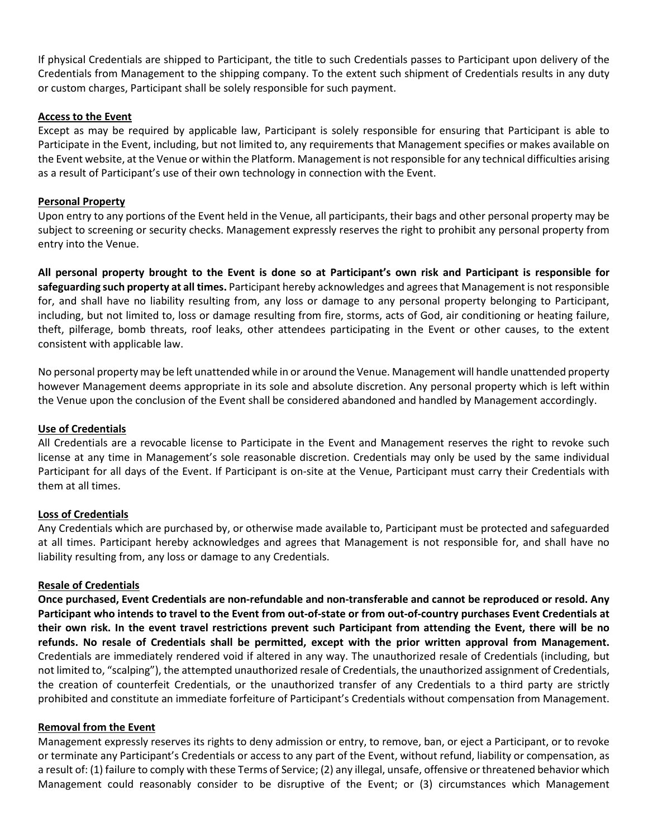If physical Credentials are shipped to Participant, the title to such Credentials passes to Participant upon delivery of the Credentials from Management to the shipping company. To the extent such shipment of Credentials results in any duty or custom charges, Participant shall be solely responsible for such payment.

#### **Access to the Event**

Except as may be required by applicable law, Participant is solely responsible for ensuring that Participant is able to Participate in the Event, including, but not limited to, any requirements that Management specifies or makes available on the Event website, at the Venue or within the Platform. Management is not responsible for any technical difficulties arising as a result of Participant's use of their own technology in connection with the Event.

### **Personal Property**

Upon entry to any portions of the Event held in the Venue, all participants, their bags and other personal property may be subject to screening or security checks. Management expressly reserves the right to prohibit any personal property from entry into the Venue.

**All personal property brought to the Event is done so at Participant's own risk and Participant is responsible for safeguarding such property at all times.** Participant hereby acknowledges and agrees that Management is not responsible for, and shall have no liability resulting from, any loss or damage to any personal property belonging to Participant, including, but not limited to, loss or damage resulting from fire, storms, acts of God, air conditioning or heating failure, theft, pilferage, bomb threats, roof leaks, other attendees participating in the Event or other causes, to the extent consistent with applicable law.

No personal property may be left unattended while in or around the Venue. Management will handle unattended property however Management deems appropriate in its sole and absolute discretion. Any personal property which is left within the Venue upon the conclusion of the Event shall be considered abandoned and handled by Management accordingly.

#### **Use of Credentials**

All Credentials are a revocable license to Participate in the Event and Management reserves the right to revoke such license at any time in Management's sole reasonable discretion. Credentials may only be used by the same individual Participant for all days of the Event. If Participant is on-site at the Venue, Participant must carry their Credentials with them at all times.

# **Loss of Credentials**

Any Credentials which are purchased by, or otherwise made available to, Participant must be protected and safeguarded at all times. Participant hereby acknowledges and agrees that Management is not responsible for, and shall have no liability resulting from, any loss or damage to any Credentials.

# **Resale of Credentials**

**Once purchased, Event Credentials are non-refundable and non-transferable and cannot be reproduced or resold. Any Participant who intends to travel to the Event from out-of-state or from out-of-country purchases Event Credentials at their own risk. In the event travel restrictions prevent such Participant from attending the Event, there will be no refunds. No resale of Credentials shall be permitted, except with the prior written approval from Management.** Credentials are immediately rendered void if altered in any way. The unauthorized resale of Credentials (including, but not limited to, "scalping"), the attempted unauthorized resale of Credentials, the unauthorized assignment of Credentials, the creation of counterfeit Credentials, or the unauthorized transfer of any Credentials to a third party are strictly prohibited and constitute an immediate forfeiture of Participant's Credentials without compensation from Management.

# **Removal from the Event**

Management expressly reserves its rights to deny admission or entry, to remove, ban, or eject a Participant, or to revoke or terminate any Participant's Credentials or access to any part of the Event, without refund, liability or compensation, as a result of: (1) failure to comply with these Terms of Service; (2) any illegal, unsafe, offensive or threatened behavior which Management could reasonably consider to be disruptive of the Event; or (3) circumstances which Management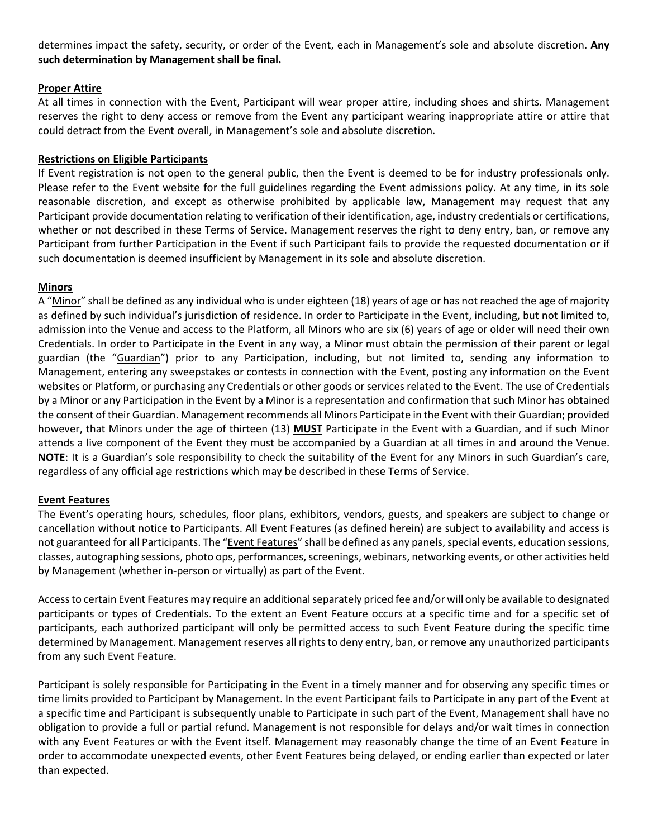determines impact the safety, security, or order of the Event, each in Management's sole and absolute discretion. **Any such determination by Management shall be final.**

### **Proper Attire**

At all times in connection with the Event, Participant will wear proper attire, including shoes and shirts. Management reserves the right to deny access or remove from the Event any participant wearing inappropriate attire or attire that could detract from the Event overall, in Management's sole and absolute discretion.

### **Restrictions on Eligible Participants**

If Event registration is not open to the general public, then the Event is deemed to be for industry professionals only. Please refer to the Event website for the full guidelines regarding the Event admissions policy. At any time, in its sole reasonable discretion, and except as otherwise prohibited by applicable law, Management may request that any Participant provide documentation relating to verification of their identification, age, industry credentials or certifications, whether or not described in these Terms of Service. Management reserves the right to deny entry, ban, or remove any Participant from further Participation in the Event if such Participant fails to provide the requested documentation or if such documentation is deemed insufficient by Management in its sole and absolute discretion.

### **Minors**

A "Minor" shall be defined as any individual who is under eighteen (18) years of age or has not reached the age of majority as defined by such individual's jurisdiction of residence. In order to Participate in the Event, including, but not limited to, admission into the Venue and access to the Platform, all Minors who are six (6) years of age or older will need their own Credentials. In order to Participate in the Event in any way, a Minor must obtain the permission of their parent or legal guardian (the "Guardian") prior to any Participation, including, but not limited to, sending any information to Management, entering any sweepstakes or contests in connection with the Event, posting any information on the Event websites or Platform, or purchasing any Credentials or other goods or services related to the Event. The use of Credentials by a Minor or any Participation in the Event by a Minor is a representation and confirmation that such Minor has obtained the consent of their Guardian. Management recommends all Minors Participate in the Event with their Guardian; provided however, that Minors under the age of thirteen (13) **MUST** Participate in the Event with a Guardian, and if such Minor attends a live component of the Event they must be accompanied by a Guardian at all times in and around the Venue. **NOTE**: It is a Guardian's sole responsibility to check the suitability of the Event for any Minors in such Guardian's care, regardless of any official age restrictions which may be described in these Terms of Service.

# **Event Features**

The Event's operating hours, schedules, floor plans, exhibitors, vendors, guests, and speakers are subject to change or cancellation without notice to Participants. All Event Features (as defined herein) are subject to availability and access is not guaranteed for all Participants. The "Event Features" shall be defined as any panels, special events, education sessions, classes, autographing sessions, photo ops, performances, screenings, webinars, networking events, or other activities held by Management (whether in-person or virtually) as part of the Event.

Access to certain Event Features may require an additional separately priced fee and/or will only be available to designated participants or types of Credentials. To the extent an Event Feature occurs at a specific time and for a specific set of participants, each authorized participant will only be permitted access to such Event Feature during the specific time determined by Management. Management reserves all rights to deny entry, ban, or remove any unauthorized participants from any such Event Feature.

Participant is solely responsible for Participating in the Event in a timely manner and for observing any specific times or time limits provided to Participant by Management. In the event Participant fails to Participate in any part of the Event at a specific time and Participant is subsequently unable to Participate in such part of the Event, Management shall have no obligation to provide a full or partial refund. Management is not responsible for delays and/or wait times in connection with any Event Features or with the Event itself. Management may reasonably change the time of an Event Feature in order to accommodate unexpected events, other Event Features being delayed, or ending earlier than expected or later than expected.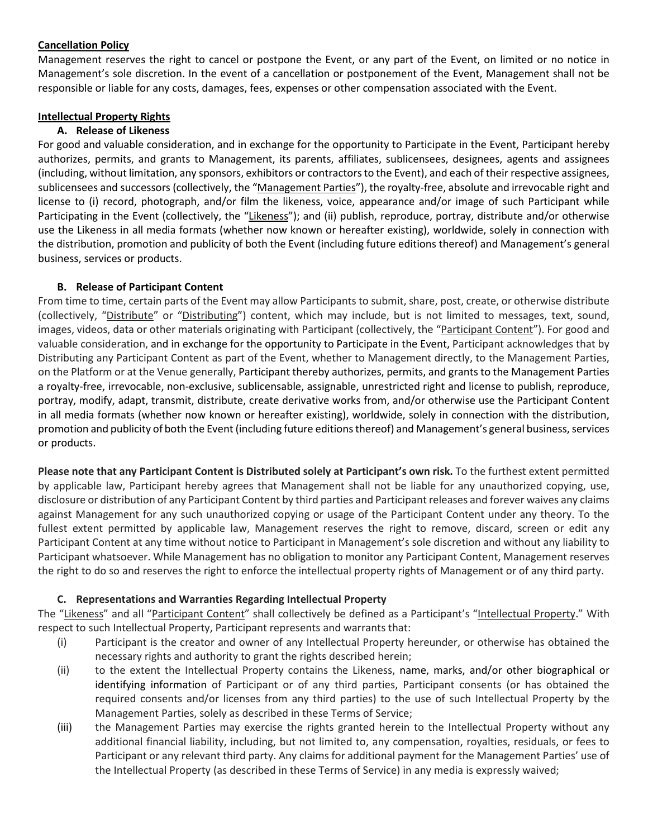### **Cancellation Policy**

Management reserves the right to cancel or postpone the Event, or any part of the Event, on limited or no notice in Management's sole discretion. In the event of a cancellation or postponement of the Event, Management shall not be responsible or liable for any costs, damages, fees, expenses or other compensation associated with the Event.

### **Intellectual Property Rights**

## **A. Release of Likeness**

For good and valuable consideration, and in exchange for the opportunity to Participate in the Event, Participant hereby authorizes, permits, and grants to Management, its parents, affiliates, sublicensees, designees, agents and assignees (including, without limitation, any sponsors, exhibitors or contractorsto the Event), and each of their respective assignees, sublicensees and successors (collectively, the "Management Parties"), the royalty-free, absolute and irrevocable right and license to (i) record, photograph, and/or film the likeness, voice, appearance and/or image of such Participant while Participating in the Event (collectively, the "Likeness"); and (ii) publish, reproduce, portray, distribute and/or otherwise use the Likeness in all media formats (whether now known or hereafter existing), worldwide, solely in connection with the distribution, promotion and publicity of both the Event (including future editions thereof) and Management's general business, services or products.

### **B. Release of Participant Content**

From time to time, certain parts of the Event may allow Participants to submit, share, post, create, or otherwise distribute (collectively, "Distribute" or "Distributing") content, which may include, but is not limited to messages, text, sound, images, videos, data or other materials originating with Participant (collectively, the "Participant Content"). For good and valuable consideration, and in exchange for the opportunity to Participate in the Event, Participant acknowledges that by Distributing any Participant Content as part of the Event, whether to Management directly, to the Management Parties, on the Platform or at the Venue generally, Participant thereby authorizes, permits, and grants to the Management Parties a royalty-free, irrevocable, non-exclusive, sublicensable, assignable, unrestricted right and license to publish, reproduce, portray, modify, adapt, transmit, distribute, create derivative works from, and/or otherwise use the Participant Content in all media formats (whether now known or hereafter existing), worldwide, solely in connection with the distribution, promotion and publicity of both the Event (including future editions thereof) and Management's general business, services or products.

**Please note that any Participant Content is Distributed solely at Participant's own risk.** To the furthest extent permitted by applicable law, Participant hereby agrees that Management shall not be liable for any unauthorized copying, use, disclosure or distribution of any Participant Content by third parties and Participant releases and forever waives any claims against Management for any such unauthorized copying or usage of the Participant Content under any theory. To the fullest extent permitted by applicable law, Management reserves the right to remove, discard, screen or edit any Participant Content at any time without notice to Participant in Management's sole discretion and without any liability to Participant whatsoever. While Management has no obligation to monitor any Participant Content, Management reserves the right to do so and reserves the right to enforce the intellectual property rights of Management or of any third party.

# **C. Representations and Warranties Regarding Intellectual Property**

The "Likeness" and all "Participant Content" shall collectively be defined as a Participant's "Intellectual Property." With respect to such Intellectual Property, Participant represents and warrants that:

- (i) Participant is the creator and owner of any Intellectual Property hereunder, or otherwise has obtained the necessary rights and authority to grant the rights described herein;
- (ii) to the extent the Intellectual Property contains the Likeness, name, marks, and/or other biographical or identifying information of Participant or of any third parties, Participant consents (or has obtained the required consents and/or licenses from any third parties) to the use of such Intellectual Property by the Management Parties, solely as described in these Terms of Service;
- (iii) the Management Parties may exercise the rights granted herein to the Intellectual Property without any additional financial liability, including, but not limited to, any compensation, royalties, residuals, or fees to Participant or any relevant third party. Any claims for additional payment for the Management Parties' use of the Intellectual Property (as described in these Terms of Service) in any media is expressly waived;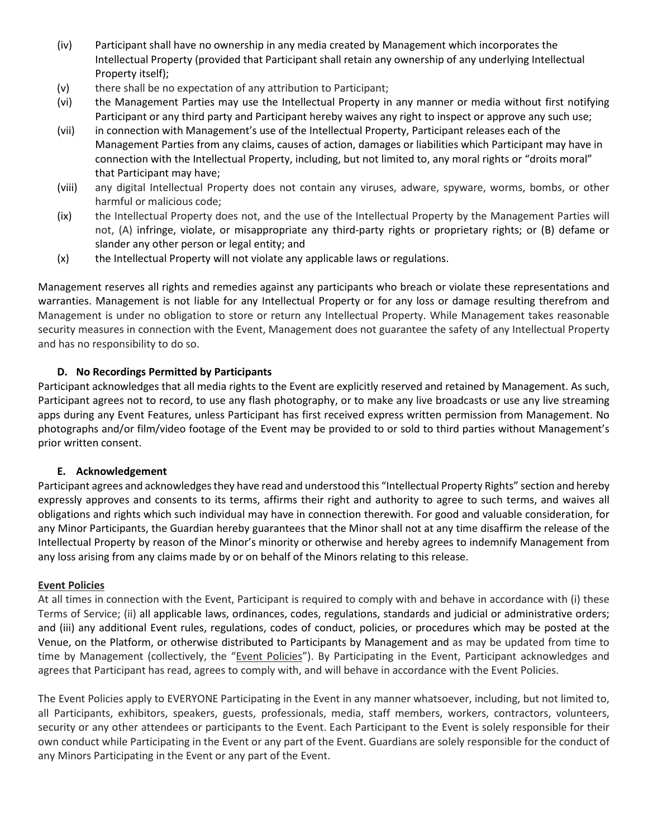- (iv) Participant shall have no ownership in any media created by Management which incorporates the Intellectual Property (provided that Participant shall retain any ownership of any underlying Intellectual Property itself);
- (v) there shall be no expectation of any attribution to Participant;
- (vi) the Management Parties may use the Intellectual Property in any manner or media without first notifying Participant or any third party and Participant hereby waives any right to inspect or approve any such use;
- (vii) in connection with Management's use of the Intellectual Property, Participant releases each of the Management Parties from any claims, causes of action, damages or liabilities which Participant may have in connection with the Intellectual Property, including, but not limited to, any moral rights or "droits moral" that Participant may have;
- (viii) any digital Intellectual Property does not contain any viruses, adware, spyware, worms, bombs, or other harmful or malicious code;
- (ix) the Intellectual Property does not, and the use of the Intellectual Property by the Management Parties will not, (A) infringe, violate, or misappropriate any third-party rights or proprietary rights; or (B) defame or slander any other person or legal entity; and
- (x) the Intellectual Property will not violate any applicable laws or regulations.

Management reserves all rights and remedies against any participants who breach or violate these representations and warranties. Management is not liable for any Intellectual Property or for any loss or damage resulting therefrom and Management is under no obligation to store or return any Intellectual Property. While Management takes reasonable security measures in connection with the Event, Management does not guarantee the safety of any Intellectual Property and has no responsibility to do so.

# **D. No Recordings Permitted by Participants**

Participant acknowledges that all media rights to the Event are explicitly reserved and retained by Management. As such, Participant agrees not to record, to use any flash photography, or to make any live broadcasts or use any live streaming apps during any Event Features, unless Participant has first received express written permission from Management. No photographs and/or film/video footage of the Event may be provided to or sold to third parties without Management's prior written consent.

#### **E. Acknowledgement**

Participant agrees and acknowledges they have read and understood this "Intellectual Property Rights" section and hereby expressly approves and consents to its terms, affirms their right and authority to agree to such terms, and waives all obligations and rights which such individual may have in connection therewith. For good and valuable consideration, for any Minor Participants, the Guardian hereby guarantees that the Minor shall not at any time disaffirm the release of the Intellectual Property by reason of the Minor's minority or otherwise and hereby agrees to indemnify Management from any loss arising from any claims made by or on behalf of the Minors relating to this release.

#### **Event Policies**

At all times in connection with the Event, Participant is required to comply with and behave in accordance with (i) these Terms of Service; (ii) all applicable laws, ordinances, codes, regulations, standards and judicial or administrative orders; and (iii) any additional Event rules, regulations, codes of conduct, policies, or procedures which may be posted at the Venue, on the Platform, or otherwise distributed to Participants by Management and as may be updated from time to time by Management (collectively, the "Event Policies"). By Participating in the Event, Participant acknowledges and agrees that Participant has read, agrees to comply with, and will behave in accordance with the Event Policies.

The Event Policies apply to EVERYONE Participating in the Event in any manner whatsoever, including, but not limited to, all Participants, exhibitors, speakers, guests, professionals, media, staff members, workers, contractors, volunteers, security or any other attendees or participants to the Event. Each Participant to the Event is solely responsible for their own conduct while Participating in the Event or any part of the Event. Guardians are solely responsible for the conduct of any Minors Participating in the Event or any part of the Event.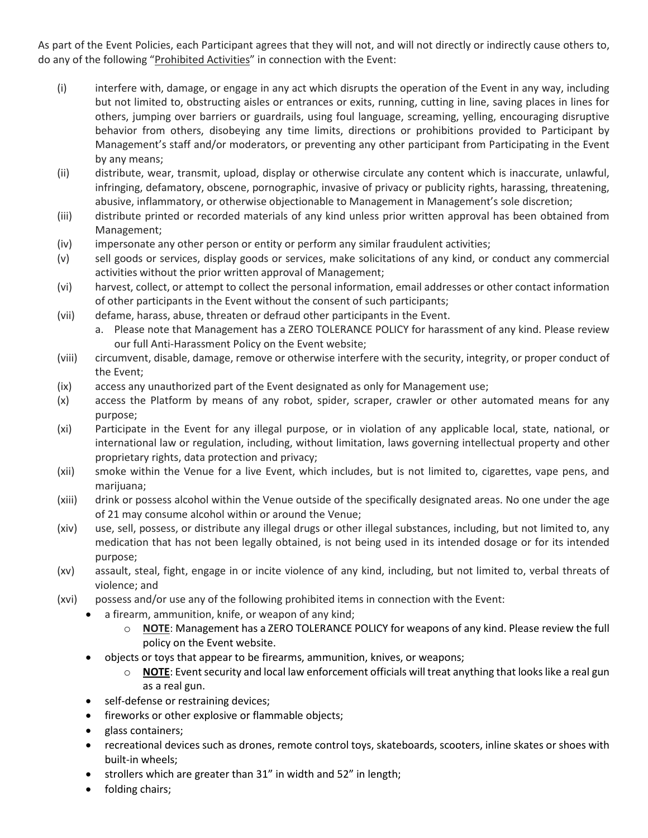As part of the Event Policies, each Participant agrees that they will not, and will not directly or indirectly cause others to, do any of the following "Prohibited Activities" in connection with the Event:

- (i) interfere with, damage, or engage in any act which disrupts the operation of the Event in any way, including but not limited to, obstructing aisles or entrances or exits, running, cutting in line, saving places in lines for others, jumping over barriers or guardrails, using foul language, screaming, yelling, encouraging disruptive behavior from others, disobeying any time limits, directions or prohibitions provided to Participant by Management's staff and/or moderators, or preventing any other participant from Participating in the Event by any means;
- (ii) distribute, wear, transmit, upload, display or otherwise circulate any content which is inaccurate, unlawful, infringing, defamatory, obscene, pornographic, invasive of privacy or publicity rights, harassing, threatening, abusive, inflammatory, or otherwise objectionable to Management in Management's sole discretion;
- (iii) distribute printed or recorded materials of any kind unless prior written approval has been obtained from Management;
- (iv) impersonate any other person or entity or perform any similar fraudulent activities;
- (v) sell goods or services, display goods or services, make solicitations of any kind, or conduct any commercial activities without the prior written approval of Management;
- (vi) harvest, collect, or attempt to collect the personal information, email addresses or other contact information of other participants in the Event without the consent of such participants;
- (vii) defame, harass, abuse, threaten or defraud other participants in the Event.
	- a. Please note that Management has a ZERO TOLERANCE POLICY for harassment of any kind. Please review our full Anti-Harassment Policy on the Event website;
- (viii) circumvent, disable, damage, remove or otherwise interfere with the security, integrity, or proper conduct of the Event;
- (ix) access any unauthorized part of the Event designated as only for Management use;
- (x) access the Platform by means of any robot, spider, scraper, crawler or other automated means for any purpose;
- (xi) Participate in the Event for any illegal purpose, or in violation of any applicable local, state, national, or international law or regulation, including, without limitation, laws governing intellectual property and other proprietary rights, data protection and privacy;
- (xii) smoke within the Venue for a live Event, which includes, but is not limited to, cigarettes, vape pens, and marijuana;
- (xiii) drink or possess alcohol within the Venue outside of the specifically designated areas. No one under the age of 21 may consume alcohol within or around the Venue;
- (xiv) use, sell, possess, or distribute any illegal drugs or other illegal substances, including, but not limited to, any medication that has not been legally obtained, is not being used in its intended dosage or for its intended purpose;
- (xv) assault, steal, fight, engage in or incite violence of any kind, including, but not limited to, verbal threats of violence; and
- (xvi) possess and/or use any of the following prohibited items in connection with the Event:
	- a firearm, ammunition, knife, or weapon of any kind;
		- o **NOTE**: Management has a ZERO TOLERANCE POLICY for weapons of any kind. Please review the full policy on the Event website.
	- objects or toys that appear to be firearms, ammunition, knives, or weapons;
		- o **NOTE**: Event security and local law enforcement officials will treat anything that looks like a real gun as a real gun.
	- self-defense or restraining devices;
	- fireworks or other explosive or flammable objects;
	- glass containers;
	- recreational devices such as drones, remote control toys, skateboards, scooters, inline skates or shoes with built-in wheels;
	- strollers which are greater than 31" in width and 52" in length;
	- folding chairs;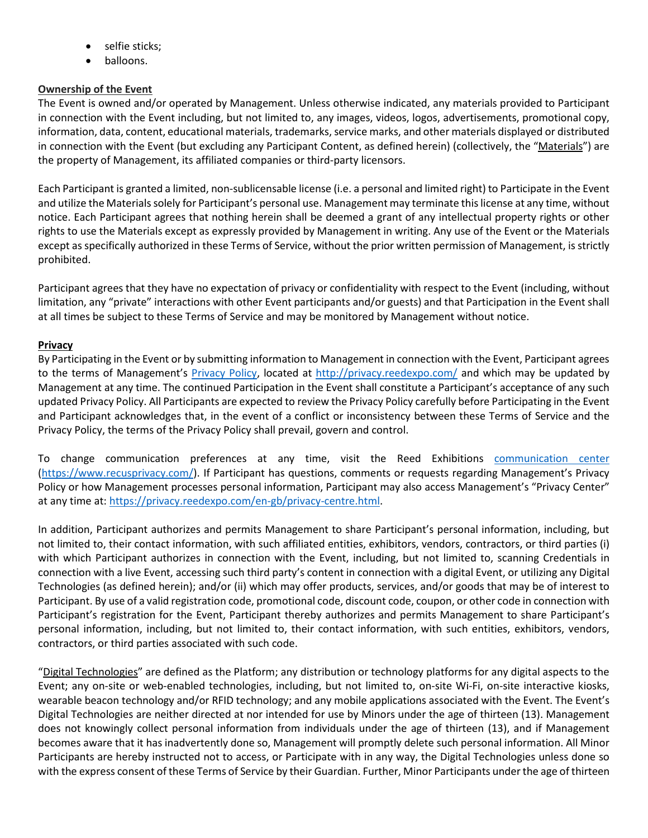- selfie sticks;
- balloons.

### **Ownership of the Event**

The Event is owned and/or operated by Management. Unless otherwise indicated, any materials provided to Participant in connection with the Event including, but not limited to, any images, videos, logos, advertisements, promotional copy, information, data, content, educational materials, trademarks, service marks, and other materials displayed or distributed in connection with the Event (but excluding any Participant Content, as defined herein) (collectively, the "Materials") are the property of Management, its affiliated companies or third-party licensors.

Each Participant is granted a limited, non-sublicensable license (i.e. a personal and limited right) to Participate in the Event and utilize the Materials solely for Participant's personal use. Management may terminate this license at any time, without notice. Each Participant agrees that nothing herein shall be deemed a grant of any intellectual property rights or other rights to use the Materials except as expressly provided by Management in writing. Any use of the Event or the Materials except as specifically authorized in these Terms of Service, without the prior written permission of Management, is strictly prohibited.

Participant agrees that they have no expectation of privacy or confidentiality with respect to the Event (including, without limitation, any "private" interactions with other Event participants and/or guests) and that Participation in the Event shall at all times be subject to these Terms of Service and may be monitored by Management without notice.

### **Privacy**

By Participating in the Event or by submitting information to Management in connection with the Event, Participant agrees to the terms of Management's [Privacy Policy,](https://privacy.reedexpo.com/en-us.html) located at [http://privacy.reedexpo.com/](http://privacy.reedexpo.com/en-us.html) and which may be updated by Management at any time. The continued Participation in the Event shall constitute a Participant's acceptance of any such updated Privacy Policy. All Participants are expected to review the Privacy Policy carefully before Participating in the Event and Participant acknowledges that, in the event of a conflict or inconsistency between these Terms of Service and the Privacy Policy, the terms of the Privacy Policy shall prevail, govern and control.

To change communication preferences at any time, visit the Reed Exhibitions [communication center](https://www.recusprivacy.com/) [\(https://www.recusprivacy.com/\)](https://www.recusprivacy.com/). If Participant has questions, comments or requests regarding Management's Privacy Policy or how Management processes personal information, Participant may also access Management's "Privacy Center" at any time at: [https://privacy.reedexpo.com/en-gb/privacy-centre.html.](https://privacy.reedexpo.com/en-gb/privacy-centre.html)

In addition, Participant authorizes and permits Management to share Participant's personal information, including, but not limited to, their contact information, with such affiliated entities, exhibitors, vendors, contractors, or third parties (i) with which Participant authorizes in connection with the Event, including, but not limited to, scanning Credentials in connection with a live Event, accessing such third party's content in connection with a digital Event, or utilizing any Digital Technologies (as defined herein); and/or (ii) which may offer products, services, and/or goods that may be of interest to Participant. By use of a valid registration code, promotional code, discount code, coupon, or other code in connection with Participant's registration for the Event, Participant thereby authorizes and permits Management to share Participant's personal information, including, but not limited to, their contact information, with such entities, exhibitors, vendors, contractors, or third parties associated with such code.

"Digital Technologies" are defined as the Platform; any distribution or technology platforms for any digital aspects to the Event; any on-site or web-enabled technologies, including, but not limited to, on-site Wi-Fi, on-site interactive kiosks, wearable beacon technology and/or RFID technology; and any mobile applications associated with the Event. The Event's Digital Technologies are neither directed at nor intended for use by Minors under the age of thirteen (13). Management does not knowingly collect personal information from individuals under the age of thirteen (13), and if Management becomes aware that it has inadvertently done so, Management will promptly delete such personal information. All Minor Participants are hereby instructed not to access, or Participate with in any way, the Digital Technologies unless done so with the express consent of these Terms of Service by their Guardian. Further, Minor Participants under the age of thirteen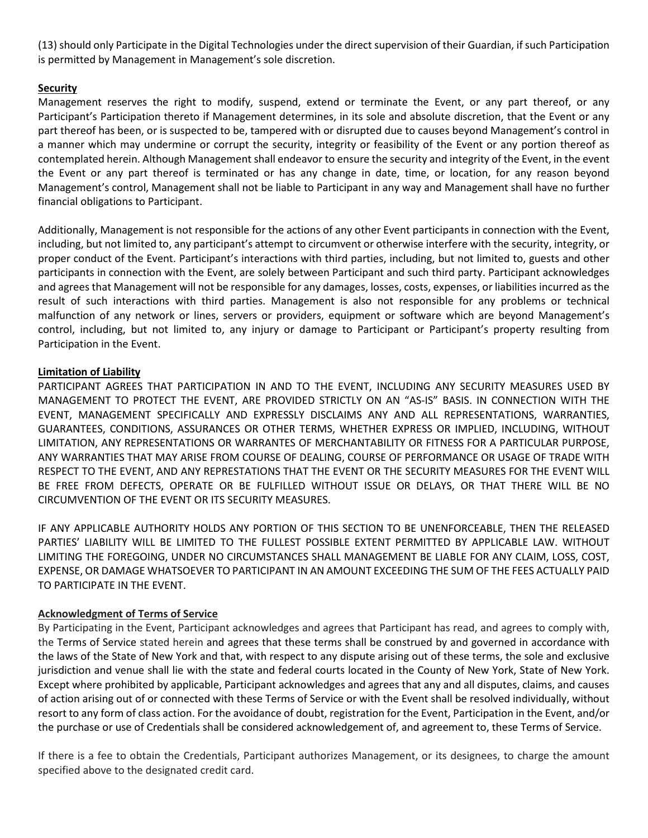(13) should only Participate in the Digital Technologies under the direct supervision of their Guardian, if such Participation is permitted by Management in Management's sole discretion.

### **Security**

Management reserves the right to modify, suspend, extend or terminate the Event, or any part thereof, or any Participant's Participation thereto if Management determines, in its sole and absolute discretion, that the Event or any part thereof has been, or is suspected to be, tampered with or disrupted due to causes beyond Management's control in a manner which may undermine or corrupt the security, integrity or feasibility of the Event or any portion thereof as contemplated herein. Although Management shall endeavor to ensure the security and integrity of the Event, in the event the Event or any part thereof is terminated or has any change in date, time, or location, for any reason beyond Management's control, Management shall not be liable to Participant in any way and Management shall have no further financial obligations to Participant.

Additionally, Management is not responsible for the actions of any other Event participants in connection with the Event, including, but not limited to, any participant's attempt to circumvent or otherwise interfere with the security, integrity, or proper conduct of the Event. Participant's interactions with third parties, including, but not limited to, guests and other participants in connection with the Event, are solely between Participant and such third party. Participant acknowledges and agrees that Management will not be responsible for any damages, losses, costs, expenses, or liabilities incurred as the result of such interactions with third parties. Management is also not responsible for any problems or technical malfunction of any network or lines, servers or providers, equipment or software which are beyond Management's control, including, but not limited to, any injury or damage to Participant or Participant's property resulting from Participation in the Event.

### **Limitation of Liability**

PARTICIPANT AGREES THAT PARTICIPATION IN AND TO THE EVENT, INCLUDING ANY SECURITY MEASURES USED BY MANAGEMENT TO PROTECT THE EVENT, ARE PROVIDED STRICTLY ON AN "AS-IS" BASIS. IN CONNECTION WITH THE EVENT, MANAGEMENT SPECIFICALLY AND EXPRESSLY DISCLAIMS ANY AND ALL REPRESENTATIONS, WARRANTIES, GUARANTEES, CONDITIONS, ASSURANCES OR OTHER TERMS, WHETHER EXPRESS OR IMPLIED, INCLUDING, WITHOUT LIMITATION, ANY REPRESENTATIONS OR WARRANTES OF MERCHANTABILITY OR FITNESS FOR A PARTICULAR PURPOSE, ANY WARRANTIES THAT MAY ARISE FROM COURSE OF DEALING, COURSE OF PERFORMANCE OR USAGE OF TRADE WITH RESPECT TO THE EVENT, AND ANY REPRESTATIONS THAT THE EVENT OR THE SECURITY MEASURES FOR THE EVENT WILL BE FREE FROM DEFECTS, OPERATE OR BE FULFILLED WITHOUT ISSUE OR DELAYS, OR THAT THERE WILL BE NO CIRCUMVENTION OF THE EVENT OR ITS SECURITY MEASURES.

IF ANY APPLICABLE AUTHORITY HOLDS ANY PORTION OF THIS SECTION TO BE UNENFORCEABLE, THEN THE RELEASED PARTIES' LIABILITY WILL BE LIMITED TO THE FULLEST POSSIBLE EXTENT PERMITTED BY APPLICABLE LAW. WITHOUT LIMITING THE FOREGOING, UNDER NO CIRCUMSTANCES SHALL MANAGEMENT BE LIABLE FOR ANY CLAIM, LOSS, COST, EXPENSE, OR DAMAGE WHATSOEVER TO PARTICIPANT IN AN AMOUNT EXCEEDING THE SUM OF THE FEES ACTUALLY PAID TO PARTICIPATE IN THE EVENT.

# **Acknowledgment of Terms of Service**

By Participating in the Event, Participant acknowledges and agrees that Participant has read, and agrees to comply with, the Terms of Service stated herein and agrees that these terms shall be construed by and governed in accordance with the laws of the State of New York and that, with respect to any dispute arising out of these terms, the sole and exclusive jurisdiction and venue shall lie with the state and federal courts located in the County of New York, State of New York. Except where prohibited by applicable, Participant acknowledges and agrees that any and all disputes, claims, and causes of action arising out of or connected with these Terms of Service or with the Event shall be resolved individually, without resort to any form of class action. For the avoidance of doubt, registration for the Event, Participation in the Event, and/or the purchase or use of Credentials shall be considered acknowledgement of, and agreement to, these Terms of Service.

If there is a fee to obtain the Credentials, Participant authorizes Management, or its designees, to charge the amount specified above to the designated credit card.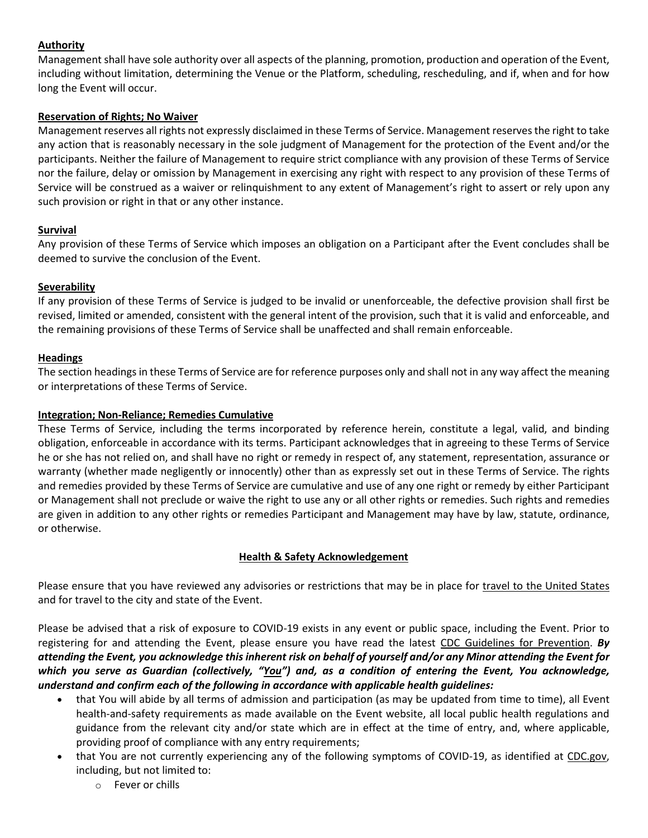# **Authority**

Management shall have sole authority over all aspects of the planning, promotion, production and operation of the Event, including without limitation, determining the Venue or the Platform, scheduling, rescheduling, and if, when and for how long the Event will occur.

## **Reservation of Rights; No Waiver**

Management reserves all rights not expressly disclaimed in these Terms of Service. Management reserves the right to take any action that is reasonably necessary in the sole judgment of Management for the protection of the Event and/or the participants. Neither the failure of Management to require strict compliance with any provision of these Terms of Service nor the failure, delay or omission by Management in exercising any right with respect to any provision of these Terms of Service will be construed as a waiver or relinquishment to any extent of Management's right to assert or rely upon any such provision or right in that or any other instance.

### **Survival**

Any provision of these Terms of Service which imposes an obligation on a Participant after the Event concludes shall be deemed to survive the conclusion of the Event.

### **Severability**

If any provision of these Terms of Service is judged to be invalid or unenforceable, the defective provision shall first be revised, limited or amended, consistent with the general intent of the provision, such that it is valid and enforceable, and the remaining provisions of these Terms of Service shall be unaffected and shall remain enforceable.

### **Headings**

The section headings in these Terms of Service are for reference purposes only and shall not in any way affect the meaning or interpretations of these Terms of Service.

### **Integration; Non-Reliance; Remedies Cumulative**

These Terms of Service, including the terms incorporated by reference herein, constitute a legal, valid, and binding obligation, enforceable in accordance with its terms. Participant acknowledges that in agreeing to these Terms of Service he or she has not relied on, and shall have no right or remedy in respect of, any statement, representation, assurance or warranty (whether made negligently or innocently) other than as expressly set out in these Terms of Service. The rights and remedies provided by these Terms of Service are cumulative and use of any one right or remedy by either Participant or Management shall not preclude or waive the right to use any or all other rights or remedies. Such rights and remedies are given in addition to any other rights or remedies Participant and Management may have by law, statute, ordinance, or otherwise.

# **Health & Safety Acknowledgement**

Please ensure that you have reviewed any advisories or restrictions that may be in place for [travel to the United States](https://travel.state.gov/content/travel/en/traveladvisories/ea/covid-19-information.html) and for travel to the city and state of the Event.

Please be advised that a risk of exposure to COVID-19 exists in any event or public space, including the Event. Prior to registering for and attending the Event, please ensure you have read the latest [CDC Guidelines for Prevention.](https://www.cdc.gov/coronavirus/2019-ncov/prevent-getting-sick/prevention.html) *By attending the Event, you acknowledge this inherent risk on behalf of yourself and/or any Minor attending the Event for which you serve as Guardian (collectively, "You") and, as a condition of entering the Event, You acknowledge, understand and confirm each of the following in accordance with applicable health guidelines:*

- that You will abide by all terms of admission and participation (as may be updated from time to time), all Event health-and-safety requirements as made available on the Event website, all local public health regulations and guidance from the relevant city and/or state which are in effect at the time of entry, and, where applicable, providing proof of compliance with any entry requirements;
- that You are not currently experiencing any of the following symptoms of COVID-19, as identified at [CDC.gov,](https://www.cdc.gov/coronavirus/2019-ncov/symptoms-testing/symptoms.html)  including, but not limited to:
	- o Fever or chills